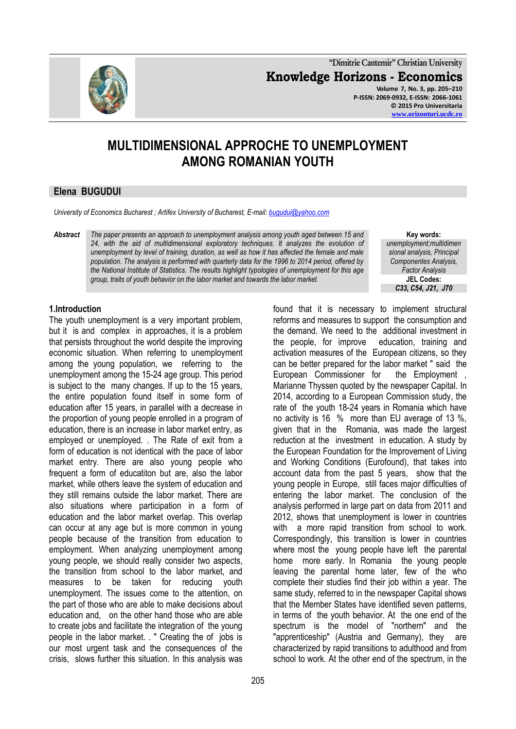

**"Dimitrie Cantemir" Christian University Knowledge Horizons - Economics Volume 7, No. 3, pp. 205–210 P-ISSN: 2069-0932, E-ISSN: 2066-1061 © 2015 Pro Universitaria [www.orizonturi.ucdc.ro](http://www.orizonturi.ucdc.ro/)**

# **MULTIDIMENSIONAL APPROCHE TO UNEMPLOYMENT AMONG ROMANIAN YOUTH**

# **Elena BUGUDUI**

*University of Economics Bucharest ; Artifex University of Bucharest, E-mail[: bugudui@yahoo.com](mailto:bugudui@yahoo.com)*

*Abstract The paper presents an approach to unemployment analysis among youth aged between 15 and 24, with the aid of multidimensional exploratory techniques. It analyzes the evolution of unemployment by level of training, duration, as well as how it has affected the female and male population. The analysis is performed with quarterly data for the 1996 to 2014 period, offered by the National Institute of Statistics. The results highlight typologies of unemployment for this age group, traits of youth behavior on the labor market and towards the labor market.*

**Key words:** *unemployment;multidimen sional analysis, Principal Componentes Analysis, Factor Analysis* **JEL Codes:** *C33, C54, J21, J70*

# **1.Introduction**

The youth unemployment is a very important problem, but it is and complex in approaches, it is a problem that persists throughout the world despite the improving economic situation. When referring to unemployment among the young population, we referring to the unemployment among the 15-24 age group. This period is subject to the many changes. If up to the 15 years, the entire population found itself in some form of education after 15 years, in parallel with a decrease in the proportion of young people enrolled in a program of education, there is an increase in labor market entry, as employed or unemployed. . The Rate of exit from a form of education is not identical with the pace of labor market entry. There are also young people who frequent a form of educatiton but are, also the labor market, while others leave the system of education and they still remains outside the labor market. There are also situations where participation in a form of education and the labor market overlap. This overlap can occur at any age but is more common in young people because of the transition from education to employment. When analyzing unemployment among young people, we should really consider two aspects, the transition from school to the labor market, and measures to be taken for reducing youth unemployment. The issues come to the attention, on the part of those who are able to make decisions about education and, on the other hand those who are able to create jobs and facilitate the integration of the young people in the labor market. . " Creating the of jobs is our most urgent task and the consequences of the crisis, slows further this situation. In this analysis was

the demand. We need to the additional investment in the people, for improve education, training and activation measures of the European citizens, so they can be better prepared for the labor market " said the European Commissioner for the Employment , Marianne Thyssen quoted by the newspaper Capital. In 2014, according to a European Commission study, the rate of the youth 18-24 years in Romania which have no activity is 16 % more than EU average of 13 %, given that in the Romania, was made the largest reduction at the investment in education. A study by the European Foundation for the Improvement of Living and Working Conditions (Eurofound), that takes into account data from the past 5 years, show that the young people in Europe, still faces major difficulties of entering the labor market. The conclusion of the analysis performed in large part on data from 2011 and 2012, shows that unemployment is lower in countries with a more rapid transition from school to work. Correspondingly, this transition is lower in countries where most the young people have left the parental home more early. In Romania the young people leaving the parental home later, few of the who complete their studies find their job within a year. The same study, referred to in the newspaper Capital shows that the Member States have identified seven patterns, in terms of the youth behavior. At the one end of the spectrum is the model of "northern" and the "apprenticeship" (Austria and Germany), they are characterized by rapid transitions to adulthood and from school to work. At the other end of the spectrum, in the

found that it is necessary to implement structural reforms and measures to support the consumption and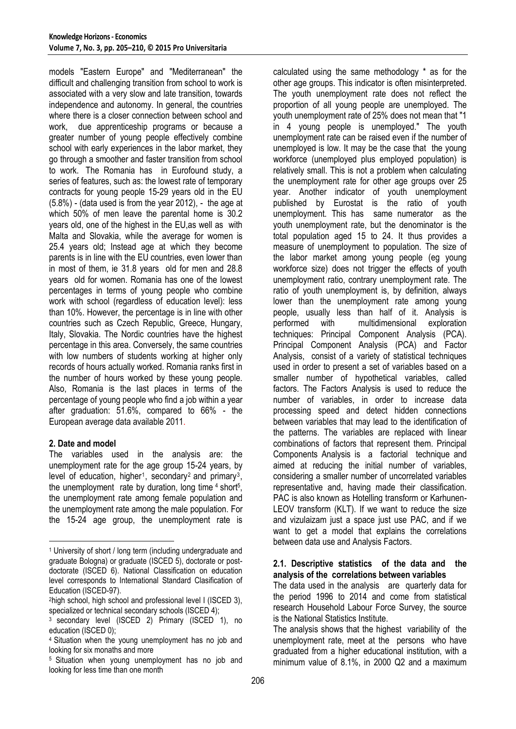models "Eastern Europe" and "Mediterranean" the difficult and challenging transition from school to work is associated with a very slow and late transition, towards independence and autonomy. In general, the countries where there is a closer connection between school and work, due apprenticeship programs or because a greater number of young people effectively combine school with early experiences in the labor market, they go through a smoother and faster transition from school to work. The Romania has in Eurofound study, a series of features, such as: the lowest rate of temporary contracts for young people 15-29 years old in the EU (5.8%) - (data used is from the year 2012), - the age at which 50% of men leave the parental home is 30.2 years old, one of the highest in the EU,as well as with Malta and Slovakia, while the average for women is 25.4 years old; Instead age at which they become parents is in line with the EU countries, even lower than in most of them, ie 31.8 years old for men and 28.8 years old for women. Romania has one of the lowest percentages in terms of young people who combine work with school (regardless of education level): less than 10%. However, the percentage is in line with other countries such as Czech Republic, Greece, Hungary, Italy, Slovakia. The Nordic countries have the highest percentage in this area. Conversely, the same countries with low numbers of students working at higher only records of hours actually worked. Romania ranks first in the number of hours worked by these young people. Also, Romania is the last places in terms of the percentage of young people who find a job within a year after graduation: 51.6%, compared to 66% - the European average data available 2011.

# **2. Date and model**

**.** 

The variables used in the analysis are: the unemployment rate for the age group 15-24 years, by level of education, higher<sup>1</sup>, secondary<sup>2</sup> and primary<sup>3</sup>, the unemployment rate by duration, long time 4 short<sup>5</sup>, the unemployment rate among female population and the unemployment rate among the male population. For the 15-24 age group, the unemployment rate is

calculated using the same methodology \* as for the other age groups. This indicator is often misinterpreted. The youth unemployment rate does not reflect the proportion of all young people are unemployed. The youth unemployment rate of 25% does not mean that "1 in 4 young people is unemployed." The youth unemployment rate can be raised even if the number of unemployed is low. It may be the case that the young workforce (unemployed plus employed population) is relatively small. This is not a problem when calculating the unemployment rate for other age groups over 25 year. Another indicator of youth unemployment published by Eurostat is the ratio of youth unemployment. This has same numerator as the youth unemployment rate, but the denominator is the total population aged 15 to 24. It thus provides a measure of unemployment to population. The size of the labor market among young people (eg young workforce size) does not trigger the effects of youth unemployment ratio, contrary unemployment rate. The ratio of youth unemployment is, by definition, always lower than the unemployment rate among young people, usually less than half of it. Analysis is performed with multidimensional exploration techniques: Principal Component Analysis (PCA). Principal Component Analysis (PCA) and Factor Analysis, consist of a variety of statistical techniques used in order to present a set of variables based on a smaller number of hypothetical variables, called factors. The Factors Analysis is used to reduce the number of variables, in order to increase data processing speed and detect hidden connections between variables that may lead to the identification of the patterns. The variables are replaced with linear combinations of factors that represent them. Principal Components Analysis is a factorial technique and aimed at reducing the initial number of variables, considering a smaller number of uncorrelated variables representative and, having made their classification. PAC is also known as Hotelling transform or Karhunen-LEOV transform (KLT). If we want to reduce the size and vizulaizam just a space just use PAC, and if we want to get a model that explains the correlations between data use and Analysis Factors.

# **2.1. Descriptive statistics of the data and the analysis of the correlations between variables**

The data used in the analysis are quarterly data for the period 1996 to 2014 and come from statistical research Household Labour Force Survey, the source is the National Statistics Institute.

The analysis shows that the highest variability of the unemployment rate, meet at the persons who have graduated from a higher educational institution, with a minimum value of 8.1%, in 2000 Q2 and a maximum

<sup>1</sup> University of short / long term (including undergraduate and graduate Bologna) or graduate (ISCED 5), doctorate or postdoctorate (ISCED 6). National Classification on education level corresponds to International Standard Clasification of Education (ISCED-97).

<sup>2</sup>high school, high school and professional level I (ISCED 3), specialized or technical secondary schools (ISCED 4);

<sup>&</sup>lt;sup>3</sup> secondary level (ISCED 2) Primary (ISCED 1), no education (ISCED 0);

<sup>4</sup> Situation when the young unemployment has no job and looking for six monaths and more

<sup>5</sup> Situation when young unemployment has no job and looking for less time than one month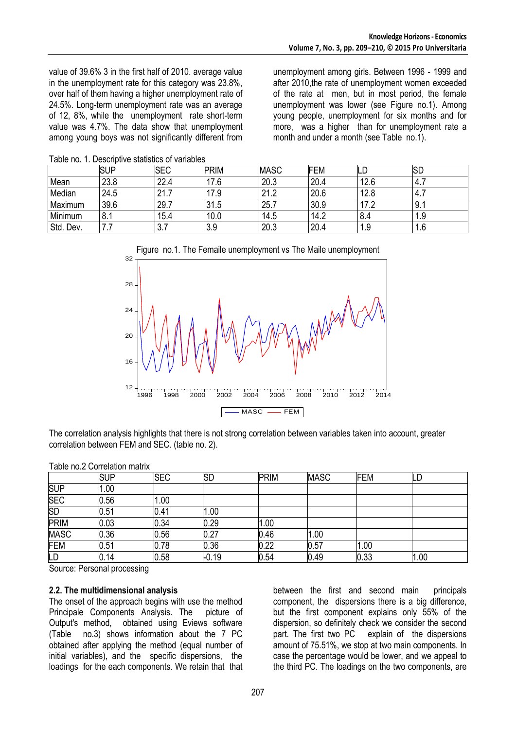value of 39.6% 3 in the first half of 2010. average value in the unemployment rate for this category was 23.8%, over half of them having a higher unemployment rate of 24.5%. Long-term unemployment rate was an average of 12, 8%, while the unemployment rate short-term value was 4.7%. The data show that unemployment among young boys was not significantly different from unemployment among girls. Between 1996 - 1999 and after 2010,the rate of unemployment women exceeded of the rate at men, but in most period, the female unemployment was lower (see Figure no.1). Among young people, unemployment for six months and for more, was a higher than for unemployment rate a month and under a month (see Table no.1).

|           | <b>SUP</b> | <b>SEC</b> | <b>PRIM</b> | <b>MASC</b> | <b>FEM</b> |                 | <b>ISD</b> |
|-----------|------------|------------|-------------|-------------|------------|-----------------|------------|
| Mean      | 23.8       | 22.4       | 17.6        | 20.3        | 20.4       | 12.6            | 4.1        |
| Median    | 24.5       | 21.7       | 17.9        | 21.2        | 20.6       | 12.8            | 4.1        |
| Maximum   | 39.6       | 29.7       | 31.5        | 25.         | 30.9       | 17 <sub>0</sub> | 9.1        |
| Minimum   | 8.1        | 15.4       | 10.0        | 14.5        | 14.2       | 8.4             | 1.9        |
| Std. Dev. | .          | ◡.≀        | 3.9         | 20.3        | 20.4       | 1.9<br>4        | 0. ا∶      |







The correlation analysis highlights that there is not strong correlation between variables taken into account, greater correlation between FEM and SEC. (table no. 2).

|             | <b>SUP</b> | <b>SEC</b> | SD      | <b>PRIM</b> | <b>MASC</b> | <b>FEM</b> | டட   |
|-------------|------------|------------|---------|-------------|-------------|------------|------|
| <b>SUP</b>  | 1.00       |            |         |             |             |            |      |
| <b>SEC</b>  | 0.56       | 1.00       |         |             |             |            |      |
| <b>SD</b>   | 0.51       | 0.41       | 1.00    |             |             |            |      |
| PRIM        | 0.03       | 0.34       | 0.29    | 1.00        |             |            |      |
| <b>MASC</b> | 0.36       | 0.56       | 0.27    | 0.46        | .00.        |            |      |
| <b>FEM</b>  | 0.51       | 0.78       | 0.36    | 0.22        | 0.57        | 1.00       |      |
| LD          | 0.14       | 0.58       | $-0.19$ | 0.54        | 0.49        | 0.33       | 1.00 |

Table no.2 Correlation matrix

Source: Personal processing

### **2.2. The multidimensional analysis**

The onset of the approach begins with use the method Principale Components Analysis. The picture of Output's method, obtained using Eviews software (Table no.3) shows information about the 7 PC obtained after applying the method (equal number of initial variables), and the specific dispersions, the loadings for the each components. We retain that that

between the first and second main principals component, the dispersions there is a big difference, but the first component explains only 55% of the dispersion, so definitely check we consider the second part. The first two PC explain of the dispersions amount of 75.51%, we stop at two main components. In case the percentage would be lower, and we appeal to the third PC. The loadings on the two components, are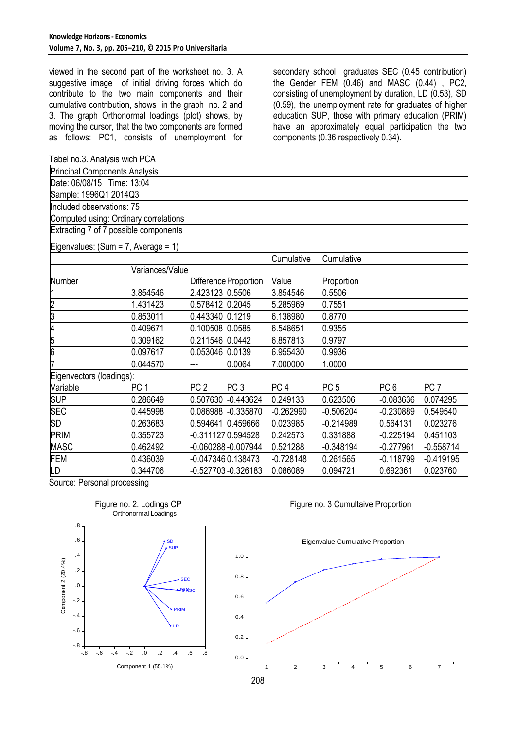viewed in the second part of the worksheet no. 3. A suggestive image of initial driving forces which do contribute to the two main components and their cumulative contribution, shows in the graph no. 2 and 3. The graph Orthonormal loadings (plot) shows, by moving the cursor, that the two components are formed as follows: PC1, consists of unemployment for

Tabel no.3. Analysis wich PCA

secondary school graduates SEC (0.45 contribution) the Gender FEM (0.46) and MASC (0.44) , PC2, consisting of unemployment by duration, LD (0.53), SD (0.59), the unemployment rate for graduates of higher education SUP, those with primary education (PRIM) have an approximately equal participation the two components (0.36 respectively 0.34).

| <b>Principal Components Analysis</b>  |                 |                   |                       |                 |                 |                 |                 |
|---------------------------------------|-----------------|-------------------|-----------------------|-----------------|-----------------|-----------------|-----------------|
| Date: 06/08/15 Time: 13:04            |                 |                   |                       |                 |                 |                 |                 |
| Sample: 1996Q1 2014Q3                 |                 |                   |                       |                 |                 |                 |                 |
| Included observations: 75             |                 |                   |                       |                 |                 |                 |                 |
| Computed using: Ordinary correlations |                 |                   |                       |                 |                 |                 |                 |
| Extracting 7 of 7 possible components |                 |                   |                       |                 |                 |                 |                 |
| Eigenvalues: $(Sum = 7, Average = 1)$ |                 |                   |                       |                 |                 |                 |                 |
|                                       |                 |                   |                       | Cumulative      | Cumulative      |                 |                 |
|                                       | Variances/Value |                   |                       |                 |                 |                 |                 |
| Number                                |                 |                   | Difference Proportion | Value           | Proportion      |                 |                 |
|                                       | 3.854546        | 2.423123 0.5506   |                       | 3.854546        | 0.5506          |                 |                 |
| 2                                     | 1.431423        | 0.578412 0.2045   |                       | 5.285969        | 0.7551          |                 |                 |
| 3                                     | 0.853011        | 0.443340 0.1219   |                       | 6.138980        | 0.8770          |                 |                 |
| 4                                     | 0.409671        | 0.100508 0.0585   |                       | 6.548651        | 0.9355          |                 |                 |
| 5                                     | 0.309162        | 0.211546 0.0442   |                       | 6.857813        | 0.9797          |                 |                 |
| 6                                     | 0.097617        | 0.053046 0.0139   |                       | 6.955430        | 0.9936          |                 |                 |
| 7                                     | 0.044570        |                   | 0.0064                | 7.000000        | 1.0000          |                 |                 |
| Eigenvectors (loadings):              |                 |                   |                       |                 |                 |                 |                 |
| Variable                              | PC <sub>1</sub> | PC <sub>2</sub>   | PC <sub>3</sub>       | PC <sub>4</sub> | PC <sub>5</sub> | PC <sub>6</sub> | PC <sub>7</sub> |
| <b>SUP</b>                            | 0.286649        |                   | 0.507630 -0.443624    | 0.249133        | 0.623506        | $-0.083636$     | 0.074295        |
| <b>SEC</b>                            | 0.445998        |                   | 0.086988 -0.335870    | $-0.262990$     | $-0.506204$     | -0.230889       | 0.549540        |
| <b>SD</b>                             | 0.263683        | 0.594641 0.459666 |                       | 0.023985        | $-0.214989$     | 0.564131        | 0.023276        |
| <b>PRIM</b>                           | 0.355723        | -0.3111270.594528 |                       | 0.242573        | 0.331888        | $-0.225194$     | 0.451103        |
| <b>MASC</b>                           | 0.462492        |                   | -0.060288 -0.007944   | 0.521288        | $-0.348194$     | $-0.277961$     | -0.558714       |
| <b>FEM</b>                            | 0.436039        | -0.0473460.138473 |                       | $-0.728148$     | 0.261565        | -0.118799       | -0.419195       |
| LD                                    | 0.344706        |                   | -0.527703 -0.326183   | 0.086089        | 0.094721        | 0.692361        | 0.023760        |
| <b>C</b><br>$D -$                     |                 |                   |                       |                 |                 |                 |                 |

Source: Personal processing



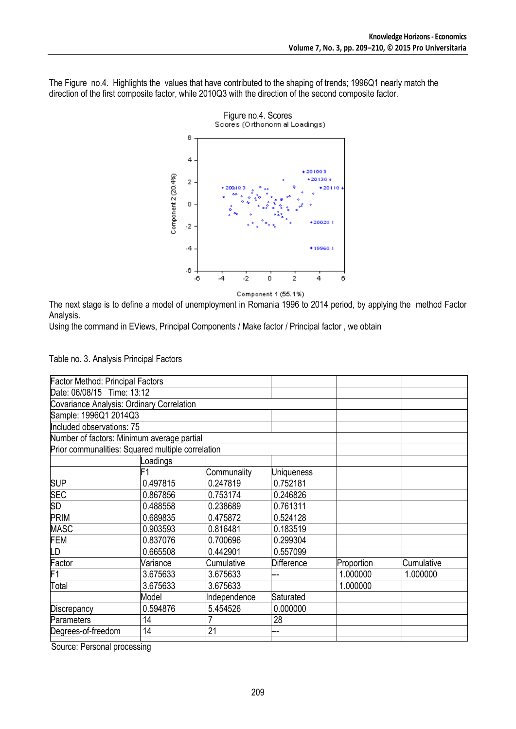The Figure no.4. Highlights the values that have contributed to the shaping of trends; 1996Q1 nearly match the direction of the first composite factor, while 2010Q3 with the direction of the second composite factor.



Component 1 (55.1%)

The next stage is to define a model of unemployment in Romania 1996 to 2014 period, by applying the method Factor Analysis.

Using the command in EViews, Principal Components / Make factor / Principal factor , we obtain

| Table no. 3. Analysis Principal Factors |  |  |  |  |  |  |
|-----------------------------------------|--|--|--|--|--|--|
|-----------------------------------------|--|--|--|--|--|--|

| <b>Factor Method: Principal Factors</b>    |              |                                                   |            |            |  |  |  |  |
|--------------------------------------------|--------------|---------------------------------------------------|------------|------------|--|--|--|--|
| Date: 06/08/15 Time: 13:12                 |              |                                                   |            |            |  |  |  |  |
| Covariance Analysis: Ordinary Correlation  |              |                                                   |            |            |  |  |  |  |
|                                            |              |                                                   |            |            |  |  |  |  |
| Included observations: 75                  |              |                                                   |            |            |  |  |  |  |
| Number of factors: Minimum average partial |              |                                                   |            |            |  |  |  |  |
|                                            |              |                                                   |            |            |  |  |  |  |
| oadings                                    |              |                                                   |            |            |  |  |  |  |
|                                            | Communality  | <b>Uniqueness</b>                                 |            |            |  |  |  |  |
| 0.497815                                   | 0.247819     | 0.752181                                          |            |            |  |  |  |  |
| 0.867856                                   | 0.753174     | 0.246826                                          |            |            |  |  |  |  |
| 0.488558                                   | 0.238689     | 0.761311                                          |            |            |  |  |  |  |
| 0.689835                                   | 0.475872     | 0.524128                                          |            |            |  |  |  |  |
| 0.903593                                   | 0.816481     | 0.183519                                          |            |            |  |  |  |  |
| 0.837076                                   | 0.700696     | 0.299304                                          |            |            |  |  |  |  |
| 0.665508                                   | 0.442901     | 0.557099                                          |            |            |  |  |  |  |
| Variance                                   | Cumulative   | <b>Difference</b>                                 | Proportion | Cumulative |  |  |  |  |
| 3.675633                                   | 3.675633     |                                                   | 1.000000   | 1.000000   |  |  |  |  |
| 3.675633                                   | 3.675633     |                                                   | 1.000000   |            |  |  |  |  |
| Model                                      | Independence | Saturated                                         |            |            |  |  |  |  |
| 0.594876                                   | 5.454526     | 0.000000                                          |            |            |  |  |  |  |
| 14                                         |              | 28                                                |            |            |  |  |  |  |
| 14                                         | 21           |                                                   |            |            |  |  |  |  |
|                                            |              | Prior communalities: Squared multiple correlation |            |            |  |  |  |  |

Source: Personal processing